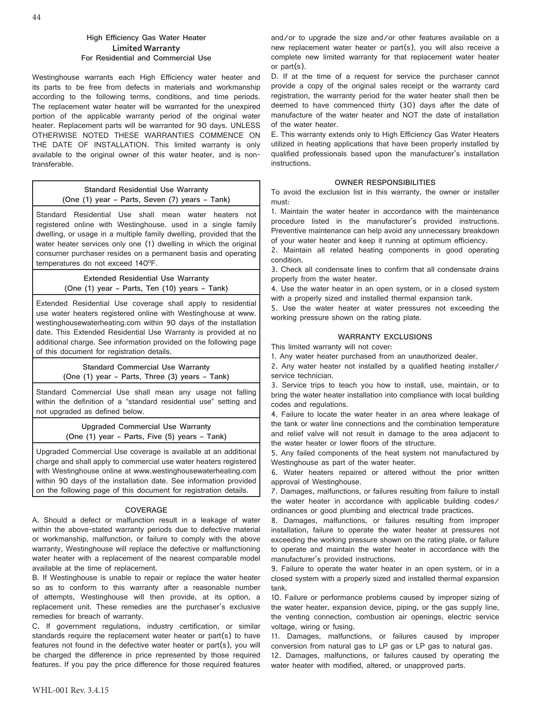## **High Efficiency Gas Water Heater Limited Warranty For Residential and Commercial Use**

Westinghouse warrants each High Efficiency water heater and its parts to be free from defects in materials and workmanship according to the following terms, conditions, and time periods. The replacement water heater will be warranted for the unexpired portion of the applicable warranty period of the original water heater. Replacement parts will be warranted for 90 days. UNLESS OTHERWISE NOTED THESE WARRANTIES COMMENCE ON THE DATE OF INSTALLATION. This limited warranty is only available to the original owner of this water heater, and is nontransferable.

# **Standard Residential Use Warranty (One (1) year – Parts, Seven (7) years – Tank)**

Standard Residential Use shall mean water heaters not registered online with Westinghouse. used in a single family dwelling, or usage in a multiple family dwelling, provided that the water heater services only one (1) dwelling in which the original consumer purchaser resides on a permanent basis and operating temperatures do not exceed 140°F.

> **Extended Residential Use Warranty (One (1) year – Parts, Ten (10) years – Tank)**

Extended Residential Use coverage shall apply to residential use water heaters registered online with Westinghouse at www. westinghousewaterheating.com within 90 days of the installation date. This Extended Residential Use Warranty is provided at no additional charge. See information provided on the following page of this document for registration details.

> **Standard Commercial Use Warranty (One (1) year – Parts, Three (3) years – Tank)**

Standard Commercial Use shall mean any usage not falling within the definition of a "standard residential use" setting and not upgraded as defined below.

> **Upgraded Commercial Use Warranty (One (1) year – Parts, Five (5) years – Tank)**

Upgraded Commercial Use coverage is available at an additional charge and shall apply to commercial use water heaters registered with Westinghouse online at www.westinghousewaterheating.com within 90 days of the installation date. See information provided on the following page of this document for registration details.

## **COVERAGE**

A. Should a defect or malfunction result in a leakage of water within the above-stated warranty periods due to defective material or workmanship, malfunction, or failure to comply with the above warranty, Westinghouse will replace the defective or malfunctioning water heater with a replacement of the nearest comparable model available at the time of replacement.

B. If Westinghouse is unable to repair or replace the water heater so as to conform to this warranty after a reasonable number of attempts, Westinghouse will then provide, at its option, a replacement unit. These remedies are the purchaser's exclusive remedies for breach of warranty.

C. If government regulations, industry certification, or similar standards require the replacement water heater or part(s) to have features not found in the defective water heater or part(s), you will be charged the difference in price represented by those required features. If you pay the price difference for those required features

and/or to upgrade the size and/or other features available on a new replacement water heater or part(s), you will also receive a complete new limited warranty for that replacement water heater or part(s).

D. If at the time of a request for service the purchaser cannot provide a copy of the original sales receipt or the warranty card registration, the warranty period for the water heater shall then be deemed to have commenced thirty (30) days after the date of manufacture of the water heater and NOT the date of installation of the water heater.

E. This warranty extends only to High Efficiency Gas Water Heaters utilized in heating applications that have been properly installed by qualified professionals based upon the manufacturer's installation instructions.

# **OWNER RESPONSIBILITIES**

To avoid the exclusion list in this warranty, the owner or installer must:

1. Maintain the water heater in accordance with the maintenance procedure listed in the manufacturer's provided instructions. Preventive maintenance can help avoid any unnecessary breakdown of your water heater and keep it running at optimum efficiency.

2. Maintain all related heating components in good operating condition.

3. Check all condensate lines to confirm that all condensate drains properly from the water heater.

4. Use the water heater in an open system, or in a closed system with a properly sized and installed thermal expansion tank.

5. Use the water heater at water pressures not exceeding the working pressure shown on the rating plate.

## **WARRANTY EXCLUSIONS**

This limited warranty will not cover:

1. Any water heater purchased from an unauthorized dealer.

2. Any water heater not installed by a qualified heating installer/ service technician.

3. Service trips to teach you how to install, use, maintain, or to bring the water heater installation into compliance with local building codes and regulations.

4. Failure to locate the water heater in an area where leakage of the tank or water line connections and the combination temperature and relief valve will not result in damage to the area adjacent to the water heater or lower floors of the structure.

5. Any failed components of the heat system not manufactured by Westinghouse as part of the water heater.

6. Water heaters repaired or altered without the prior written approval of Westinghouse.

7. Damages, malfunctions, or failures resulting from failure to install the water heater in accordance with applicable building codes/ ordinances or good plumbing and electrical trade practices.

8. Damages, malfunctions, or failures resulting from improper installation, failure to operate the water heater at pressures not exceeding the working pressure shown on the rating plate, or failure to operate and maintain the water heater in accordance with the manufacturer's provided instructions.

9. Failure to operate the water heater in an open system, or in a closed system with a properly sized and installed thermal expansion tank.

10. Failure or performance problems caused by improper sizing of the water heater, expansion device, piping, or the gas supply line, the venting connection, combustion air openings, electric service voltage, wiring or fusing.

11. Damages, malfunctions, or failures caused by improper conversion from natural gas to LP gas or LP gas to natural gas.

12. Damages, malfunctions, or failures caused by operating the water heater with modified, altered, or unapproved parts.